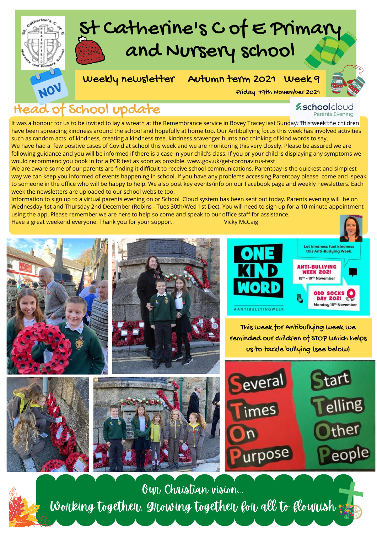

## Head of School update

**z**schoolcloud

Parents Evening

#### It was a honour for us to be invited to lay a wreath at the Remembrance service in Bovey Tracey last Sunday. This week the children have been spreading kindness around the school and hopefully at home too. Our Antibullying focus this week has involved activities such as random acts of kindness, creating a kindness tree, kindness scavenger hunts and thinking of kind words to say. We have had a few positive cases of Covid at school this week and we are monitoring this very closely. Please be assured we are

following guidance and you will be informed if there is a case in your child's class. If you or your child is displaying any symptoms we would recommend you book in for a PCR test as soon as possible. www.gov.uk/get-coronavirus-test

We are aware some of our parents are finding it difficult to receive school communications. Parentpay is the quickest and simplest way we can keep you informed of events happening in school. If you have any problems accessing Parentpay please come and speak to someone in the office who will be happy to help. We also post key events/info on our Facebook page and weekly newsletters. Each week the newsletters are uploaded to our school website too.

Information to sign up to a virtual parents evening on or School Cloud system has been sent out today. Parents evening will be on Wednesday 1st and Thursday 2nd December (Robins - Tues 30th/Wed 1st Dec). You will need to sign up for a 10 minute appointment using the app. Please remember we are here to help so come and speak to our office staff for assistance.

Have a great weekend everyone. Thank you for your support. Vicky McCaig



This week for Antibullying week we reminded our children of STOP which helps us to tackle bullying (see below)





Our Christian vision... Working together, growing together for all to flourish :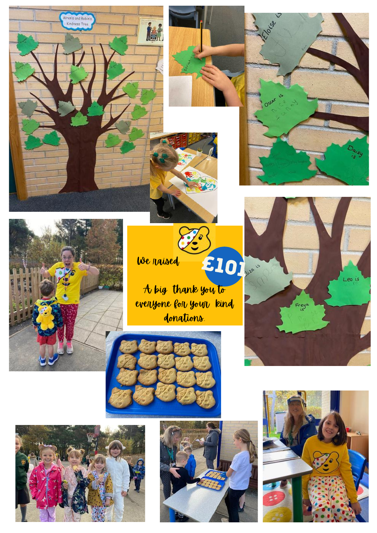





 $\sum_{i=1}^{n}$ We raised

A big thank you to evenyone for your kind donations.

£101









Freye

Leo is